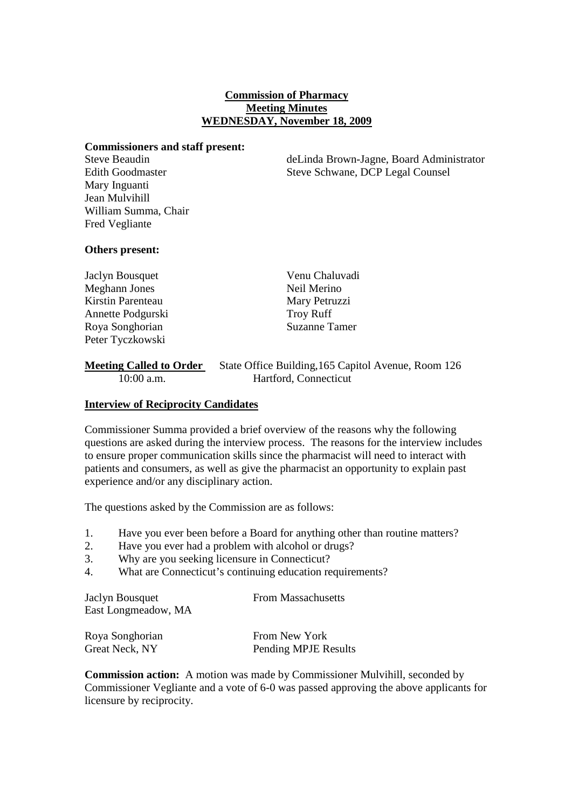### **Commission of Pharmacy Meeting Minutes WEDNESDAY, November 18, 2009**

#### **Commissioners and staff present:**

Mary Inguanti Jean Mulvihill William Summa, Chair Fred Vegliante

Steve Beaudin deLinda Brown-Jagne, Board Administrator Edith Goodmaster Steve Schwane, DCP Legal Counsel

## **Others present:**

Jaclyn Bousquet Venu Chaluvadi Meghann Jones Neil Merino Kirstin Parenteau Mary Petruzzi Annette Podgurski Troy Ruff Roya Songhorian Suzanne Tamer Peter Tyczkowski

# **Meeting Called to Order** State Office Building, 165 Capitol Avenue, Room 126 10:00 a.m. Hartford, Connecticut

# **Interview of Reciprocity Candidates**

Commissioner Summa provided a brief overview of the reasons why the following questions are asked during the interview process. The reasons for the interview includes to ensure proper communication skills since the pharmacist will need to interact with patients and consumers, as well as give the pharmacist an opportunity to explain past experience and/or any disciplinary action.

The questions asked by the Commission are as follows:

- 1. Have you ever been before a Board for anything other than routine matters?
- 2. Have you ever had a problem with alcohol or drugs?
- 3. Why are you seeking licensure in Connecticut?
- 4. What are Connecticut's continuing education requirements?

**Jaclyn Bousquet** From Massachusetts East Longmeadow, MA

| Roya Songhorian | From New York        |
|-----------------|----------------------|
| Great Neck, NY  | Pending MPJE Results |

**Commission action:** A motion was made by Commissioner Mulvihill, seconded by Commissioner Vegliante and a vote of 6-0 was passed approving the above applicants for licensure by reciprocity.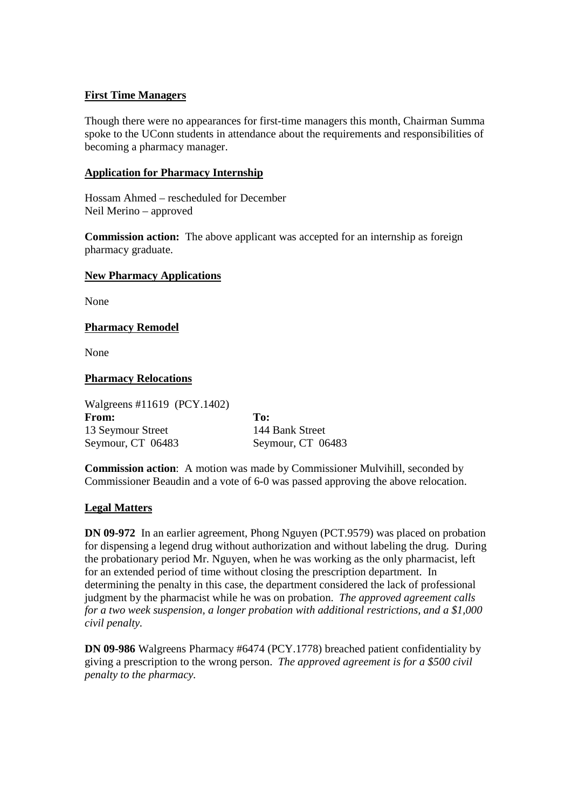# **First Time Managers**

Though there were no appearances for first-time managers this month, Chairman Summa spoke to the UConn students in attendance about the requirements and responsibilities of becoming a pharmacy manager.

## **Application for Pharmacy Internship**

Hossam Ahmed – rescheduled for December Neil Merino – approved

**Commission action:** The above applicant was accepted for an internship as foreign pharmacy graduate.

#### **New Pharmacy Applications**

None

## **Pharmacy Remodel**

None

## **Pharmacy Relocations**

Walgreens #11619 (PCY.1402) **From: To:** 13 Seymour Street 144 Bank Street Seymour, CT 06483 Seymour, CT 06483

**Commission action**: A motion was made by Commissioner Mulvihill, seconded by Commissioner Beaudin and a vote of 6-0 was passed approving the above relocation.

## **Legal Matters**

**DN 09-972** In an earlier agreement, Phong Nguyen (PCT.9579) was placed on probation for dispensing a legend drug without authorization and without labeling the drug. During the probationary period Mr. Nguyen, when he was working as the only pharmacist, left for an extended period of time without closing the prescription department. In determining the penalty in this case, the department considered the lack of professional judgment by the pharmacist while he was on probation. *The approved agreement calls for a two week suspension, a longer probation with additional restrictions, and a \$1,000 civil penalty.*

**DN 09-986** Walgreens Pharmacy #6474 (PCY.1778) breached patient confidentiality by giving a prescription to the wrong person. *The approved agreement is for a \$500 civil penalty to the pharmacy.*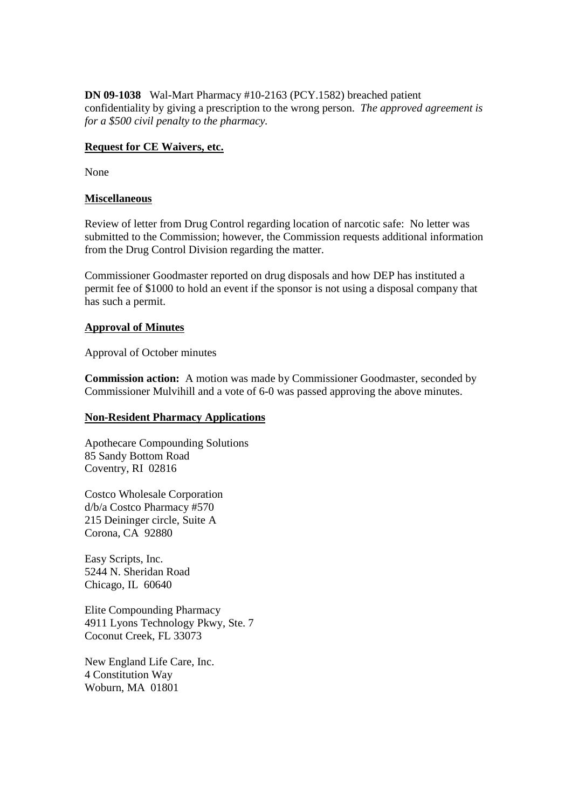**DN 09-1038** Wal-Mart Pharmacy #10-2163 (PCY.1582) breached patient confidentiality by giving a prescription to the wrong person. *The approved agreement is for a \$500 civil penalty to the pharmacy.*

#### **Request for CE Waivers, etc.**

None

#### **Miscellaneous**

Review of letter from Drug Control regarding location of narcotic safe: No letter was submitted to the Commission; however, the Commission requests additional information from the Drug Control Division regarding the matter.

Commissioner Goodmaster reported on drug disposals and how DEP has instituted a permit fee of \$1000 to hold an event if the sponsor is not using a disposal company that has such a permit.

#### **Approval of Minutes**

Approval of October minutes

**Commission action:** A motion was made by Commissioner Goodmaster, seconded by Commissioner Mulvihill and a vote of 6-0 was passed approving the above minutes.

#### **Non-Resident Pharmacy Applications**

Apothecare Compounding Solutions 85 Sandy Bottom Road Coventry, RI 02816

Costco Wholesale Corporation d/b/a Costco Pharmacy #570 215 Deininger circle, Suite A Corona, CA 92880

Easy Scripts, Inc. 5244 N. Sheridan Road Chicago, IL 60640

Elite Compounding Pharmacy 4911 Lyons Technology Pkwy, Ste. 7 Coconut Creek, FL 33073

New England Life Care, Inc. 4 Constitution Way Woburn, MA 01801